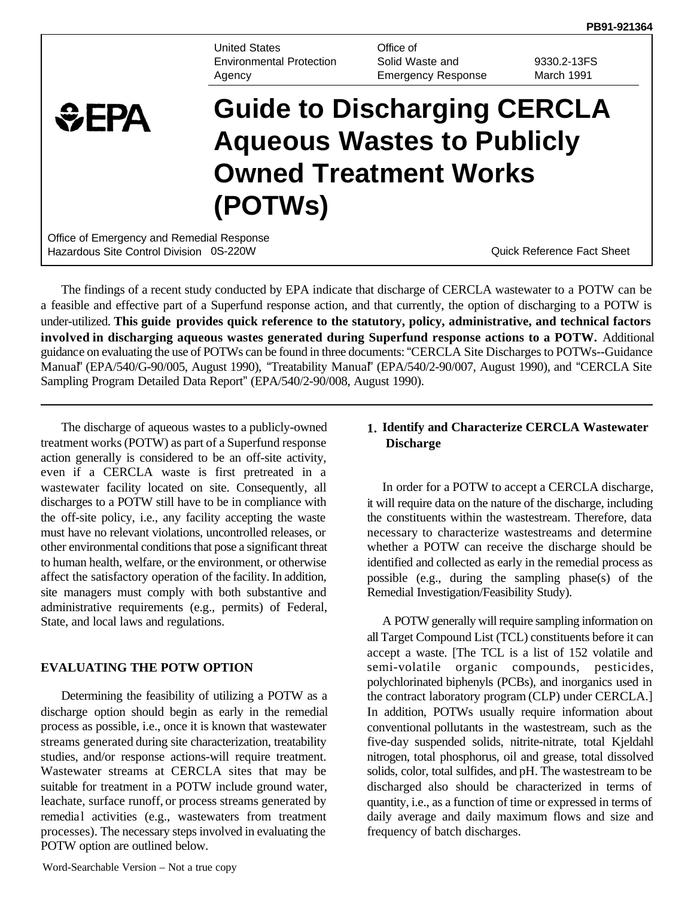**PB91-921364** 

United States Environmental Protection Agency

Office of Solid Waste and Emergency Response

9330.2-13FS March 1991

# **Guide to Discharging CERCLA**   $EPA$ **Aqueous Wastes to Publicly Owned Treatment Works (POTWs)**  Office of Emergency and Remedial Response

Hazardous Site Control Division 0S-220W Quick Reference Fact Sheet

The findings of a recent study conducted by EPA indicate that discharge of CERCLA wastewater to a POTW can be a feasible and effective part of a Superfund response action, and that currently, the option of discharging to a POTW is under-utilized. **This guide provides quick reference to the statutory, policy, administrative, and technical factors involved in discharging aqueous wastes generated during Superfund response actions to a POTW.** Additional guidance on evaluating the use of POTWs can be found in three documents: "CERCLA Site Discharges to POTWs--Guidance Manual" (EPA/540/G-90/005, August 1990), "Treatability Manual" (EPA/540/2-90/007, August 1990), and "CERCLA Site Sampling Program Detailed Data Report" (EPA/540/2-90/008, August 1990).

The discharge of aqueous wastes to a publicly-owned treatment works (POTW) as part of a Superfund response action generally is considered to be an off-site activity, even if a CERCLA waste is first pretreated in a wastewater facility located on site. Consequently, all discharges to a POTW still have to be in compliance with the off-site policy, i.e., any facility accepting the waste must have no relevant violations, uncontrolled releases, or other environmental conditions that pose a significant threat to human health, welfare, or the environment, or otherwise affect the satisfactory operation of the facility. In addition, site managers must comply with both substantive and administrative requirements (e.g., permits) of Federal, State, and local laws and regulations.

# **EVALUATING THE POTW OPTION**

Determining the feasibility of utilizing a POTW as a discharge option should begin as early in the remedial process as possible, i.e., once it is known that wastewater streams generated during site characterization, treatability studies, and/or response actions-will require treatment. Wastewater streams at CERCLA sites that may be suitable for treatment in a POTW include ground water, leachate, surface runoff, or process streams generated by remedial activities (e.g., wastewaters from treatment processes). The necessary steps involved in evaluating the POTW option are outlined below.

### **1. Identify and Characterize CERCLA Wastewater Discharge**

In order for a POTW to accept a CERCLA discharge, it will require data on the nature of the discharge, including the constituents within the wastestream. Therefore, data necessary to characterize wastestreams and determine whether a POTW can receive the discharge should be identified and collected as early in the remedial process as possible (e.g., during the sampling phase(s) of the Remedial Investigation/Feasibility Study).

A POTW generally will require sampling information on all Target Compound List (TCL) constituents before it can accept a waste. [The TCL is a list of 152 volatile and semi-volatile organic compounds, pesticides, polychlorinated biphenyls (PCBs), and inorganics used in the contract laboratory program (CLP) under CERCLA.] In addition, POTWs usually require information about conventional pollutants in the wastestream, such as the five-day suspended solids, nitrite-nitrate, total Kjeldahl nitrogen, total phosphorus, oil and grease, total dissolved solids, color, total sulfides, and pH. The wastestream to be discharged also should be characterized in terms of quantity, i.e., as a function of time or expressed in terms of daily average and daily maximum flows and size and frequency of batch discharges.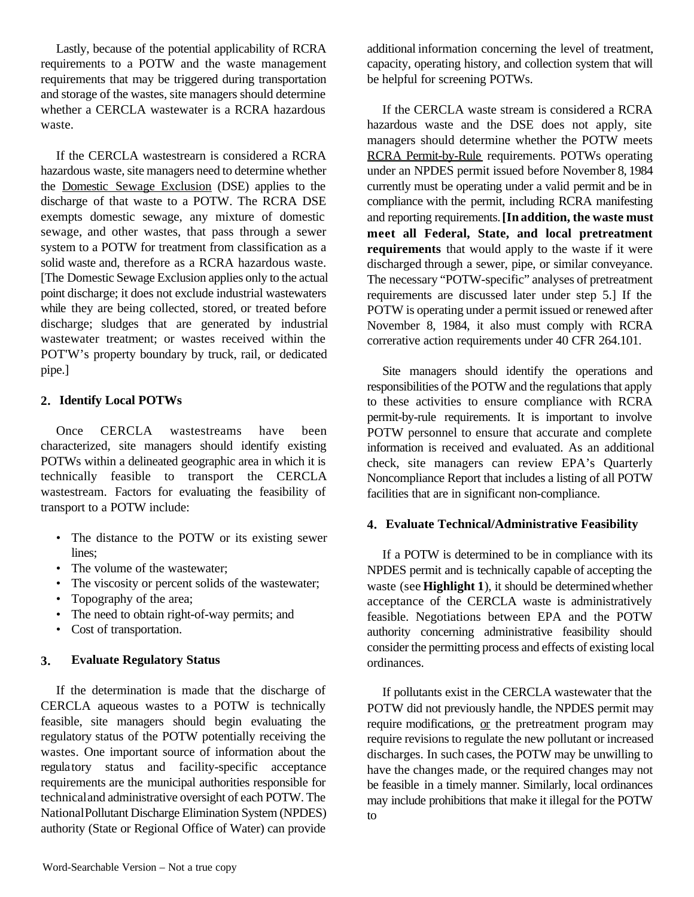Lastly, because of the potential applicability of RCRA requirements to a POTW and the waste management requirements that may be triggered during transportation and storage of the wastes, site managers should determine whether a CERCLA wastewater is a RCRA hazardous waste.

If the CERCLA wastestrearn is considered a RCRA hazardous waste, site managers need to determine whether the Domestic Sewage Exclusion (DSE) applies to the discharge of that waste to a POTW. The RCRA DSE exempts domestic sewage, any mixture of domestic sewage, and other wastes, that pass through a sewer system to a POTW for treatment from classification as a solid waste and, therefore as a RCRA hazardous waste. [The Domestic Sewage Exclusion applies only to the actual point discharge; it does not exclude industrial wastewaters while they are being collected, stored, or treated before discharge; sludges that are generated by industrial wastewater treatment; or wastes received within the POT'W's property boundary by truck, rail, or dedicated pipe.]

### **2. Identify Local POTWs**

Once CERCLA wastestreams have been characterized, site managers should identify existing POTWs within a delineated geographic area in which it is technically feasible to transport the CERCLA wastestream. Factors for evaluating the feasibility of transport to a POTW include:

- The distance to the POTW or its existing sewer lines;
- The volume of the wastewater:
- The viscosity or percent solids of the wastewater;
- Topography of the area;
- The need to obtain right-of-way permits; and
- Cost of transportation.

# **3. Evaluate Regulatory Status**

If the determination is made that the discharge of CERCLA aqueous wastes to a POTW is technically feasible, site managers should begin evaluating the regulatory status of the POTW potentially receiving the wastes. One important source of information about the regulatory status and facility-specific acceptance requirements are the municipal authorities responsible for technicaland administrative oversight of each POTW. The NationalPollutant Discharge Elimination System (NPDES) authority (State or Regional Office of Water) can provide additional information concerning the level of treatment, capacity, operating history, and collection system that will be helpful for screening POTWs.

If the CERCLA waste stream is considered a RCRA hazardous waste and the DSE does not apply, site managers should determine whether the POTW meets RCRA Permit-by-Rule requirements. POTWs operating under an NPDES permit issued before November 8, 1984 currently must be operating under a valid permit and be in compliance with the permit, including RCRA manifesting and reporting requirements. **[In addition, the waste must meet all Federal, State, and local pretreatment requirements** that would apply to the waste if it were discharged through a sewer, pipe, or similar conveyance. The necessary "POTW-specific" analyses of pretreatment requirements are discussed later under step 5.] If the POTW is operating under a permit issued or renewed after November 8, 1984, it also must comply with RCRA correrative action requirements under 40 CFR 264.101.

Site managers should identify the operations and responsibilities of the POTW and the regulations that apply to these activities to ensure compliance with RCRA permit-by-rule requirements. It is important to involve POTW personnel to ensure that accurate and complete information is received and evaluated. As an additional check, site managers can review EPA's Quarterly Noncompliance Report that includes a listing of all POTW facilities that are in significant non-compliance.

#### **4. Evaluate Technical/Administrative Feasibility**

If a POTW is determined to be in compliance with its NPDES permit and is technically capable of accepting the waste (see **Highlight 1**), it should be determined whether acceptance of the CERCLA waste is administratively feasible. Negotiations between EPA and the POTW authority concerning administrative feasibility should consider the permitting process and effects of existing local ordinances.

If pollutants exist in the CERCLA wastewater that the POTW did not previously handle, the NPDES permit may require modifications, or the pretreatment program may require revisions to regulate the new pollutant or increased discharges. In such cases, the POTW may be unwilling to have the changes made, or the required changes may not be feasible in a timely manner. Similarly, local ordinances may include prohibitions that make it illegal for the POTW to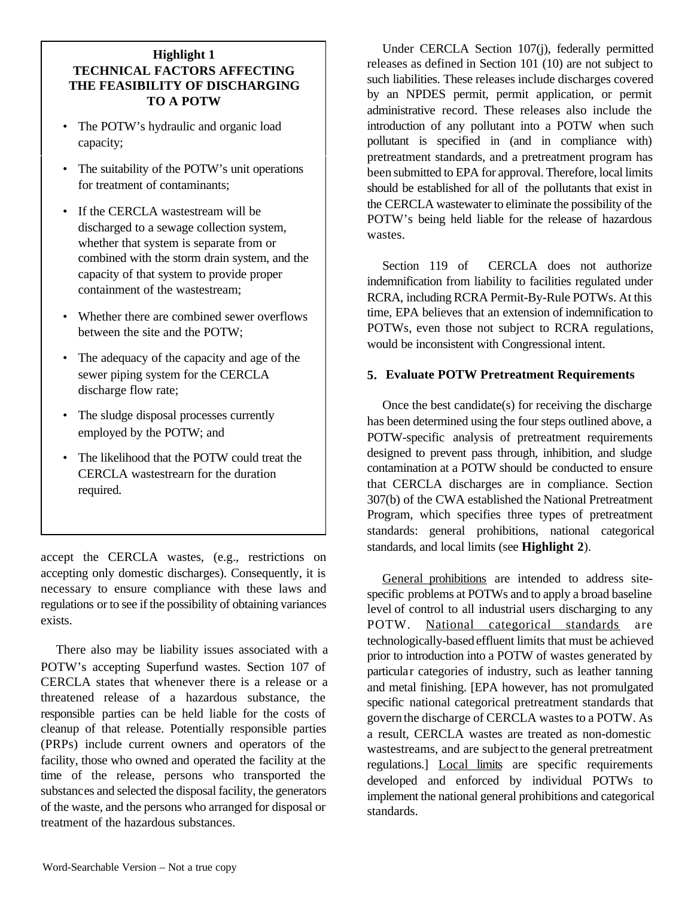# **Highlight 1 TECHNICAL FACTORS AFFECTING THE FEASIBILITY OF DISCHARGING TO A POTW**

- The POTW's hydraulic and organic load capacity;
- The suitability of the POTW's unit operations for treatment of contaminants;
- If the CERCLA wastestream will be discharged to a sewage collection system, whether that system is separate from or combined with the storm drain system, and the capacity of that system to provide proper containment of the wastestream;
- Whether there are combined sewer overflows between the site and the POTW;
- The adequacy of the capacity and age of the sewer piping system for the CERCLA discharge flow rate;
- The sludge disposal processes currently employed by the POTW; and
- The likelihood that the POTW could treat the CERCLA wastestrearn for the duration required.

accept the CERCLA wastes, (e.g., restrictions on accepting only domestic discharges). Consequently, it is necessary to ensure compliance with these laws and regulations or to see if the possibility of obtaining variances exists.

There also may be liability issues associated with a POTW's accepting Superfund wastes. Section 107 of CERCLA states that whenever there is a release or a threatened release of a hazardous substance, the responsible parties can be held liable for the costs of cleanup of that release. Potentially responsible parties (PRPs) include current owners and operators of the facility, those who owned and operated the facility at the time of the release, persons who transported the substances and selected the disposal facility, the generators of the waste, and the persons who arranged for disposal or treatment of the hazardous substances.

Under CERCLA Section 107(j), federally permitted releases as defined in Section 101 (10) are not subject to such liabilities. These releases include discharges covered by an NPDES permit, permit application, or permit administrative record. These releases also include the introduction of any pollutant into a POTW when such pollutant is specified in (and in compliance with) pretreatment standards, and a pretreatment program has been submitted to EPA for approval. Therefore, local limits should be established for all of the pollutants that exist in the CERCLA wastewater to eliminate the possibility of the POTW's being held liable for the release of hazardous wastes.

Section 119 of CERCLA does not authorize indemnification from liability to facilities regulated under RCRA, including RCRA Permit-By-Rule POTWs. At this time, EPA believes that an extension of indemnification to POTWs, even those not subject to RCRA regulations, would be inconsistent with Congressional intent.

# **5. Evaluate POTW Pretreatment Requirements**

Once the best candidate(s) for receiving the discharge has been determined using the four steps outlined above, a POTW-specific analysis of pretreatment requirements designed to prevent pass through, inhibition, and sludge contamination at a POTW should be conducted to ensure that CERCLA discharges are in compliance. Section 307(b) of the CWA established the National Pretreatment Program, which specifies three types of pretreatment standards: general prohibitions, national categorical standards, and local limits (see **Highlight 2**).

General prohibitions are intended to address sitespecific problems at POTWs and to apply a broad baseline level of control to all industrial users discharging to any POTW. National categorical standards are technologically-based effluent limits that must be achieved prior to introduction into a POTW of wastes generated by particular categories of industry, such as leather tanning and metal finishing. [EPA however, has not promulgated specific national categorical pretreatment standards that govern the discharge of CERCLA wastes to a POTW. As a result, CERCLA wastes are treated as non-domestic wastestreams, and are subject to the general pretreatment regulations.] Local limits are specific requirements developed and enforced by individual POTWs to implement the national general prohibitions and categorical standards.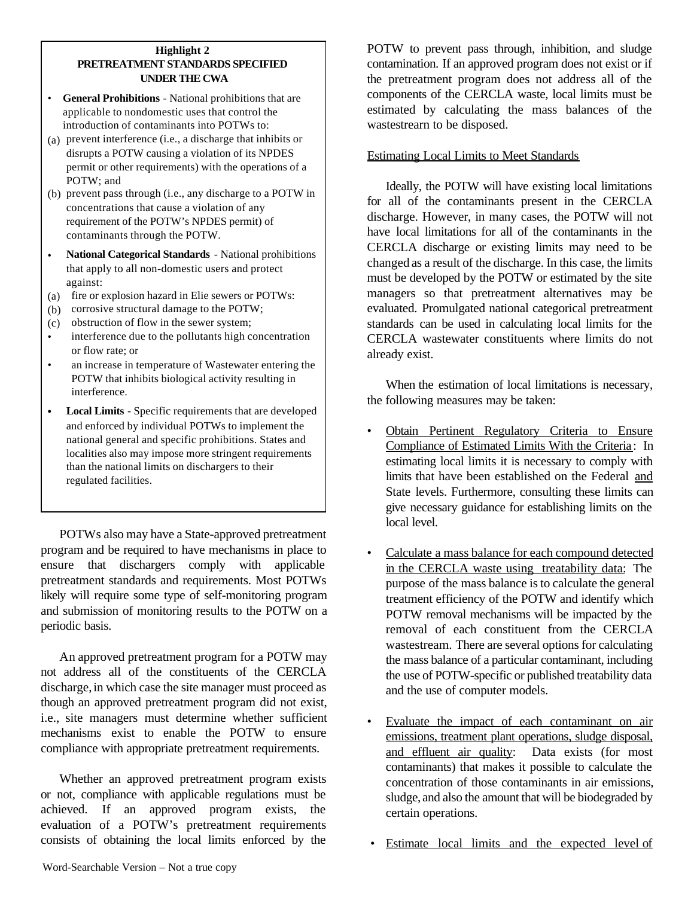#### **Highlight 2 PRETREATMENT STANDARDS SPECIFIED UNDER THE CWA**

- **General Prohibitions** National prohibitions that are applicable to nondomestic uses that control the introduction of contaminants into POTWs to:
- (a) prevent interference (i.e., a discharge that inhibits or disrupts a POTW causing a violation of its NPDES permit or other requirements) with the operations of a POTW; and
- (b) prevent pass through (i.e., any discharge to a POTW in concentrations that cause a violation of any requirement of the POTW's NPDES permit) of contaminants through the POTW.
- **National Categorical Standards** National prohibitions that apply to all non-domestic users and protect against:
- (a) fire or explosion hazard in Elie sewers or POTWs:
- (b) corrosive structural damage to the POTW;
- (c) obstruction of flow in the sewer system;
- interference due to the pollutants high concentration or flow rate; or
- an increase in temperature of Wastewater entering the POTW that inhibits biological activity resulting in interference.
- **Local Limits** Specific requirements that are developed and enforced by individual POTWs to implement the national general and specific prohibitions. States and localities also may impose more stringent requirements than the national limits on dischargers to their regulated facilities.

POTWs also may have a State-approved pretreatment program and be required to have mechanisms in place to ensure that dischargers comply with applicable pretreatment standards and requirements. Most POTWs likely will require some type of self-monitoring program and submission of monitoring results to the POTW on a periodic basis.

An approved pretreatment program for a POTW may not address all of the constituents of the CERCLA discharge, in which case the site manager must proceed as though an approved pretreatment program did not exist, i.e., site managers must determine whether sufficient mechanisms exist to enable the POTW to ensure compliance with appropriate pretreatment requirements.

Whether an approved pretreatment program exists or not, compliance with applicable regulations must be achieved. If an approved program exists, the evaluation of a POTW's pretreatment requirements consists of obtaining the local limits enforced by the

POTW to prevent pass through, inhibition, and sludge contamination. If an approved program does not exist or if the pretreatment program does not address all of the components of the CERCLA waste, local limits must be estimated by calculating the mass balances of the wastestrearn to be disposed.

## Estimating Local Limits to Meet Standards

Ideally, the POTW will have existing local limitations for all of the contaminants present in the CERCLA discharge. However, in many cases, the POTW will not have local limitations for all of the contaminants in the CERCLA discharge or existing limits may need to be changed as a result of the discharge. In this case, the limits must be developed by the POTW or estimated by the site managers so that pretreatment alternatives may be evaluated. Promulgated national categorical pretreatment standards can be used in calculating local limits for the CERCLA wastewater constituents where limits do not already exist.

When the estimation of local limitations is necessary, the following measures may be taken:

- Obtain Pertinent Regulatory Criteria to Ensure Compliance of Estimated Limits With the Criteria: In estimating local limits it is necessary to comply with limits that have been established on the Federal and State levels. Furthermore, consulting these limits can give necessary guidance for establishing limits on the local level.
- Calculate a mass balance for each compound detected in the CERCLA waste using treatability data: The purpose of the mass balance is to calculate the general treatment efficiency of the POTW and identify which POTW removal mechanisms will be impacted by the removal of each constituent from the CERCLA wastestream. There are several options for calculating the mass balance of a particular contaminant, including the use of POTW-specific or published treatability data and the use of computer models.
- Evaluate the impact of each contaminant on air emissions, treatment plant operations, sludge disposal, and effluent air quality: Data exists (for most contaminants) that makes it possible to calculate the concentration of those contaminants in air emissions, sludge, and also the amount that will be biodegraded by certain operations.
- Estimate local limits and the expected level of